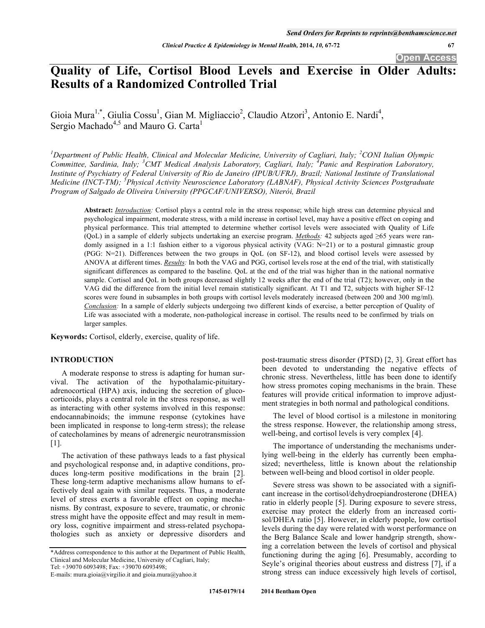**Open Access** 

# **Quality of Life, Cortisol Blood Levels and Exercise in Older Adults: Results of a Randomized Controlled Trial**

Gioia Mura<sup>1,\*</sup>, Giulia Cossu<sup>1</sup>, Gian M. Migliaccio<sup>2</sup>, Claudio Atzori<sup>3</sup>, Antonio E. Nardi<sup>4</sup>, Sergio Machado<sup>4,5</sup> and Mauro G. Carta<sup>1</sup>

<sup>1</sup>Department of Public Health, Clinical and Molecular Medicine, University of Cagliari, Italy; <sup>2</sup>CONI Italian Olympic *Committee, Sardinia, Italy; <sup>3</sup> CMT Medical Analysis Laboratory, Cagliari, Italy; <sup>4</sup> Panic and Respiration Laboratory, Institute of Psychiatry of Federal University of Rio de Janeiro (IPUB/UFRJ), Brazil; National Institute of Translational Medicine (INCT-TM); <sup>5</sup> Physical Activity Neuroscience Laboratory (LABNAF), Physical Activity Sciences Postgraduate Program of Salgado de Oliveira University (PPGCAF/UNIVERSO), Niterói, Brazil* 

**Abstract:** *Introduction:* Cortisol plays a central role in the stress response; while high stress can determine physical and psychological impairment, moderate stress, with a mild increase in cortisol level, may have a positive effect on coping and physical performance. This trial attempted to determine whether cortisol levels were associated with Quality of Life (QoL) in a sample of elderly subjects undertaking an exercise program. *Methods:* 42 subjects aged  $\geq 65$  years were randomly assigned in a 1:1 fashion either to a vigorous physical activity (VAG: N=21) or to a postural gimnastic group (PGG: N=21). Differences between the two groups in QoL (on SF-12), and blood cortisol levels were assessed by ANOVA at different times. *Results:* In both the VAG and PGG, cortisol levels rose at the end of the trial, with statistically significant differences as compared to the baseline. QoL at the end of the trial was higher than in the national normative sample. Cortisol and QoL in both groups decreased slightly 12 weeks after the end of the trial (T2); however, only in the VAG did the difference from the initial level remain statistically significant. At T1 and T2, subjects with higher SF-12 scores were found in subsamples in both groups with cortisol levels moderately increased (between 200 and 300 mg/ml). *Conclusion:* In a sample of elderly subjects undergoing two different kinds of exercise, a better perception of Quality of Life was associated with a moderate, non-pathological increase in cortisol. The results need to be confirmed by trials on larger samples.

**Keywords:** Cortisol, elderly, exercise, quality of life.

# **INTRODUCTION**

A moderate response to stress is adapting for human survival. The activation of the hypothalamic-pituitaryadrenocortical (HPA) axis, inducing the secretion of glucocorticoids, plays a central role in the stress response, as well as interacting with other systems involved in this response: endocannabinoids; the immune response (cytokines have been implicated in response to long-term stress); the release of catecholamines by means of adrenergic neurotransmission [1].

The activation of these pathways leads to a fast physical and psychological response and, in adaptive conditions, produces long-term positive modifications in the brain [2]. These long-term adaptive mechanisms allow humans to effectively deal again with similar requests. Thus, a moderate level of stress exerts a favorable effect on coping mechanisms. By contrast, exposure to severe, traumatic, or chronic stress might have the opposite effect and may result in memory loss, cognitive impairment and stress-related psychopathologies such as anxiety or depressive disorders and

\*Address correspondence to this author at the Department of Public Health, Clinical and Molecular Medicine, University of Cagliari, Italy;

Tel: +39070 6093498; Fax: +39070 6093498;

post-traumatic stress disorder (PTSD) [2, 3]. Great effort has been devoted to understanding the negative effects of chronic stress. Nevertheless, little has been done to identify how stress promotes coping mechanisms in the brain. These features will provide critical information to improve adjustment strategies in both normal and pathological conditions.

The level of blood cortisol is a milestone in monitoring the stress response. However, the relationship among stress, well-being, and cortisol levels is very complex [4].

The importance of understanding the mechanisms underlying well-being in the elderly has currently been emphasized; nevertheless, little is known about the relationship between well-being and blood cortisol in older people.

Severe stress was shown to be associated with a significant increase in the cortisol/dehydroepiandrosterone (DHEA) ratio in elderly people [5]. During exposure to severe stress, exercise may protect the elderly from an increased cortisol/DHEA ratio [5]. However, in elderly people, low cortisol levels during the day were related with worst performance on the Berg Balance Scale and lower handgrip strength, showing a correlation between the levels of cortisol and physical functioning during the aging [6]. Presumably, according to Seyle's original theories about eustress and distress [7], if a strong stress can induce excessively high levels of cortisol,

E-mails: mura.gioia@virgilio.it and gioia.mura@yahoo.it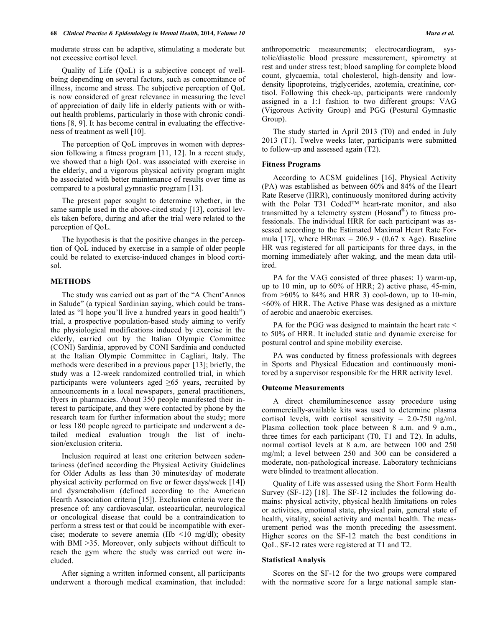moderate stress can be adaptive, stimulating a moderate but not excessive cortisol level.

Quality of Life (QoL) is a subjective concept of wellbeing depending on several factors, such as concomitance of illness, income and stress. The subjective perception of QoL is now considered of great relevance in measuring the level of appreciation of daily life in elderly patients with or without health problems, particularly in those with chronic conditions [8, 9]. It has become central in evaluating the effectiveness of treatment as well [10].

The perception of QoL improves in women with depression following a fitness program [11, 12]. In a recent study, we showed that a high QoL was associated with exercise in the elderly, and a vigorous physical activity program might be associated with better maintenance of results over time as compared to a postural gymnastic program [13].

The present paper sought to determine whether, in the same sample used in the above-cited study [13], cortisol levels taken before, during and after the trial were related to the perception of QoL.

The hypothesis is that the positive changes in the perception of QoL induced by exercise in a sample of older people could be related to exercise-induced changes in blood cortisol.

## **METHODS**

The study was carried out as part of the "A Chent'Annos in Salude" (a typical Sardinian saying, which could be translated as "I hope you'll live a hundred years in good health") trial, a prospective population-based study aiming to verify the physiological modifications induced by exercise in the elderly, carried out by the Italian Olympic Committee (CONI) Sardinia, approved by CONI Sardinia and conducted at the Italian Olympic Committee in Cagliari, Italy. The methods were described in a previous paper [13]; briefly, the study was a 12-week randomized controlled trial, in which participants were volunteers aged  $\geq 65$  years, recruited by announcements in a local newspapers, general practitioners, flyers in pharmacies. About 350 people manifested their interest to participate, and they were contacted by phone by the research team for further information about the study; more or less 180 people agreed to participate and underwent a detailed medical evaluation trough the list of inclusion/exclusion criteria.

Inclusion required at least one criterion between sedentariness (defined according the Physical Activity Guidelines for Older Adults as less than 30 minutes/day of moderate physical activity performed on five or fewer days/week [14]) and dysmetabolism (defined according to the American Hearth Association criteria [15]). Exclusion criteria were the presence of: any cardiovascular, osteoarticular, neurological or oncological disease that could be a contraindication to perform a stress test or that could be incompatible with exercise; moderate to severe anemia (Hb  $\leq 10$  mg/dl); obesity with BMI >35. Moreover, only subjects without difficult to reach the gym where the study was carried out were included.

After signing a written informed consent, all participants underwent a thorough medical examination, that included: anthropometric measurements; electrocardiogram, systolic/diastolic blood pressure measurement, spirometry at rest and under stress test; blood sampling for complete blood count, glycaemia, total cholesterol, high-density and lowdensity lipoproteins, triglycerides, azotemia, creatinine, cortisol. Following this check-up, participants were randomly assigned in a 1:1 fashion to two different groups: VAG (Vigorous Activity Group) and PGG (Postural Gymnastic Group).

The study started in April 2013 (T0) and ended in July 2013 (T1). Twelve weeks later, participants were submitted to follow-up and assessed again (T2).

## **Fitness Programs**

According to ACSM guidelines [16], Physical Activity (PA) was established as between 60% and 84% of the Heart Rate Reserve (HRR), continuously monitored during activity with the Polar T31 Coded™ heart-rate monitor, and also transmitted by a telemetry system (Hosand®) to fitness professionals. The individual HRR for each participant was assessed according to the Estimated Maximal Heart Rate Formula [17], where HRmax =  $206.9 - (0.67 \text{ x Age})$ . Baseline HR was registered for all participants for three days, in the morning immediately after waking, and the mean data utilized.

PA for the VAG consisted of three phases: 1) warm-up, up to 10 min, up to 60% of HRR; 2) active phase, 45-min, from  $>60\%$  to 84% and HRR 3) cool-down, up to 10-min, <60% of HRR. The Active Phase was designed as a mixture of aerobic and anaerobic exercises.

PA for the PGG was designed to maintain the heart rate < to 50% of HRR. It included static and dynamic exercise for postural control and spine mobility exercise.

PA was conducted by fitness professionals with degrees in Sports and Physical Education and continuously monitored by a supervisor responsible for the HRR activity level.

#### **Outcome Measurements**

A direct chemiluminescence assay procedure using commercially-available kits was used to determine plasma cortisol levels, with cortisol sensitivity =  $2.0\n-750$  ng/ml. Plasma collection took place between 8 a.m. and 9 a.m., three times for each participant (T0, T1 and T2). In adults, normal cortisol levels at 8 a.m. are between 100 and 250 mg/ml; a level between 250 and 300 can be considered a moderate, non-pathological increase. Laboratory technicians were blinded to treatment allocation.

Quality of Life was assessed using the Short Form Health Survey (SF-12) [18]. The SF-12 includes the following domains: physical activity, physical health limitations on roles or activities, emotional state, physical pain, general state of health, vitality, social activity and mental health. The measurement period was the month preceding the assessment. Higher scores on the SF-12 match the best conditions in QoL. SF-12 rates were registered at T1 and T2.

#### **Statistical Analysis**

Scores on the SF-12 for the two groups were compared with the normative score for a large national sample stan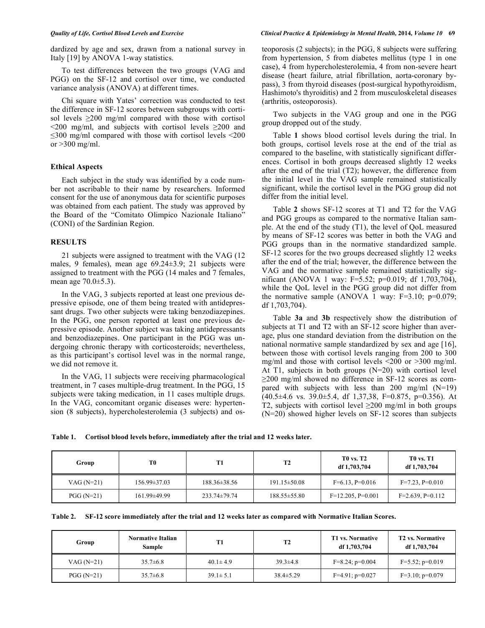dardized by age and sex, drawn from a national survey in Italy [19] by ANOVA 1-way statistics.

To test differences between the two groups (VAG and PGG) on the SF-12 and cortisol over time, we conducted variance analysis (ANOVA) at different times.

Chi square with Yates' correction was conducted to test the difference in SF-12 scores between subgroups with cortisol levels  $\geq 200$  mg/ml compared with those with cortisol  $\leq$ 200 mg/ml, and subjects with cortisol levels  $\geq$ 200 and  $\leq$ 300 mg/ml compared with those with cortisol levels  $\leq$ 200 or >300 mg/ml.

## **Ethical Aspects**

Each subject in the study was identified by a code number not ascribable to their name by researchers. Informed consent for the use of anonymous data for scientific purposes was obtained from each patient. The study was approved by the Board of the "Comitato Olimpico Nazionale Italiano" (CONI) of the Sardinian Region.

## **RESULTS**

21 subjects were assigned to treatment with the VAG (12 males, 9 females), mean age 69.24±3.9; 21 subjects were assigned to treatment with the PGG (14 males and 7 females, mean age  $70.0 \pm 5.3$ ).

In the VAG, 3 subjects reported at least one previous depressive episode, one of them being treated with antidepressant drugs. Two other subjects were taking benzodiazepines. In the PGG, one person reported at least one previous depressive episode. Another subject was taking antidepressants and benzodiazepines. One participant in the PGG was undergoing chronic therapy with corticosteroids; nevertheless, as this participant's cortisol level was in the normal range, we did not remove it.

In the VAG, 11 subjects were receiving pharmacological treatment, in 7 cases multiple-drug treatment. In the PGG, 15 subjects were taking medication, in 11 cases multiple drugs. In the VAG, concomitant organic diseases were: hypertension (8 subjects), hypercholesterolemia (3 subjects) and osteoporosis (2 subjects); in the PGG, 8 subjects were suffering from hypertension, 5 from diabetes mellitus (type 1 in one case), 4 from hypercholesterolemia, 4 from non-severe heart disease (heart failure, atrial fibrillation, aorta-coronary bypass), 3 from thyroid diseases (post-surgical hypothyroidism, Hashimoto's thyroiditis) and 2 from musculoskeletal diseases (arthritis, osteoporosis).

Two subjects in the VAG group and one in the PGG group dropped out of the study.

Table **1** shows blood cortisol levels during the trial. In both groups, cortisol levels rose at the end of the trial as compared to the baseline, with statistically significant differences. Cortisol in both groups decreased slightly 12 weeks after the end of the trial (T2); however, the difference from the initial level in the VAG sample remained statistically significant, while the cortisol level in the PGG group did not differ from the initial level.

Table **2** shows SF-12 scores at T1 and T2 for the VAG and PGG groups as compared to the normative Italian sample. At the end of the study (T1), the level of QoL measured by means of SF-12 scores was better in both the VAG and PGG groups than in the normative standardized sample. SF-12 scores for the two groups decreased slightly 12 weeks after the end of the trial; however, the difference between the VAG and the normative sample remained statistically significant (ANOVA 1 way: F=5.52; p=0.019; df 1,703,704), while the QoL level in the PGG group did not differ from the normative sample (ANOVA 1 way:  $F=3.10$ ;  $p=0.079$ ; df 1,703,704).

Table **3a** and **3b** respectively show the distribution of subjects at T1 and T2 with an SF-12 score higher than average, plus one standard deviation from the distribution on the national normative sample standardized by sex and age [16], between those with cortisol levels ranging from 200 to 300 mg/ml and those with cortisol levels <200 or >300 mg/ml. At T1, subjects in both groups (N=20) with cortisol level  $\geq$ 200 mg/ml showed no difference in SF-12 scores as compared with subjects with less than 200 mg/ml (N=19)  $(40.5\pm4.6 \text{ vs. } 39.0\pm5.4, \text{ df } 1,37,38, \text{ F}=0.875, \text{ p}=0.356)$ . At T2, subjects with cortisol level  $\geq 200$  mg/ml in both groups (N=20) showed higher levels on SF-12 scores than subjects

**Table 1. Cortisol blood levels before, immediately after the trial and 12 weeks later.** 

| Group        | T <sub>0</sub>     | Т1                 | T <sub>2</sub>     | <b>TO vs. T2</b><br>df 1,703,704 | <b>TO vs. T1</b><br>df 1,703,704 |
|--------------|--------------------|--------------------|--------------------|----------------------------------|----------------------------------|
| VAG $(N=21)$ | $156.99 \pm 37.03$ | $188.36 \pm 38.56$ | $191.15 \pm 50.08$ | $F=6.13$ , $P=0.016$             | $F=7.23$ , $P=0.010$             |
| $PGG(N=21)$  | 161.99±49.99       | $233.74 \pm 79.74$ | $188.55 \pm 55.80$ | $F=12.205$ , $P=0.001$           | $F=2.639, P=0.112$               |

|  |  | Table 2. SF-12 score immediately after the trial and 12 weeks later as compared with Normative Italian Scores. |
|--|--|----------------------------------------------------------------------------------------------------------------|
|  |  |                                                                                                                |

| Group        | <b>Normative Italian</b><br><b>Sample</b> | T1             | T <sub>2</sub>  | <b>T1 vs. Normative</b><br>df 1,703,704 | <b>T2 vs. Normative</b><br>df 1,703,704 |
|--------------|-------------------------------------------|----------------|-----------------|-----------------------------------------|-----------------------------------------|
| VAG $(N=21)$ | $35.7\pm 6.8$                             | $40.1 \pm 4.9$ | $39.3 \pm 4.8$  | $F=8.24$ ; $p=0.004$                    | $F=5.52$ ; $p=0.019$                    |
| $PGG(N=21)$  | $35.7\pm 6.8$                             | $39.1 \pm 5.1$ | $38.4 \pm 5.29$ | $F=4.91$ ; $p=0.027$                    | $F=3.10; p=0.079$                       |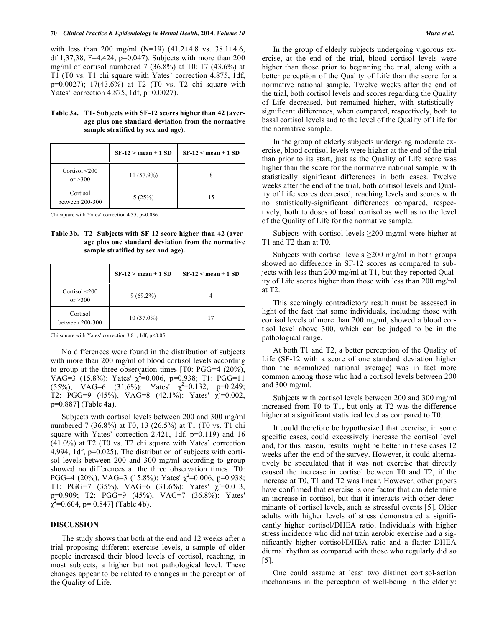with less than 200 mg/ml (N=19)  $(41.2\pm4.8 \text{ vs. } 38.1\pm4.6,$ df 1,37,38, F=4.424, p=0.047). Subjects with more than 200 mg/ml of cortisol numbered 7 (36.8%) at T0; 17 (43.6%) at T1 (T0 vs. T1 chi square with Yates' correction 4.875, 1df, p=0.0027); 17(43.6%) at T2 (T0 vs. T2 chi square with Yates' correction 4.875, 1df, p=0.0027).

## **Table 3a. T1- Subjects with SF-12 scores higher than 42 (average plus one standard deviation from the normative sample stratified by sex and age).**

|                                 | $SF-12 > mean + 1 SD$ | $SF-12 <$ mean + 1 SD |
|---------------------------------|-----------------------|-----------------------|
| Cortisol $\leq$ 200<br>or > 300 | $11(57.9\%)$          |                       |
| Cortisol<br>between 200-300     | 5(25%)                | 15                    |

Chi square with Yates' correction 4.35, p<0.036.

**Table 3b. T2- Subjects with SF-12 score higher than 42 (average plus one standard deviation from the normative sample stratified by sex and age).** 

|                                  | $SF-12 > mean + 1 SD$ | $SF-12 <$ mean + 1 SD |
|----------------------------------|-----------------------|-----------------------|
| Cortisol $\leq 200$<br>or $>300$ | $9(69.2\%)$           |                       |
| Cortisol<br>between $200-300$    | $10(37.0\%)$          | 17                    |

Chi square with Yates' correction  $3.81$ , 1df, p<0.05.

No differences were found in the distribution of subjects with more than 200 mg/ml of blood cortisol levels according to group at the three observation times [T0: PGG=4 (20%),  $VAG=3$  (15.8%): Yates'  $\chi^2=0.006$ , p=0.938; T1: PGG=11  $(55\%)$ , VAG=6  $(31.6\%)$ : Yates'  $\chi^2$ =0.132, p=0.249; T2: PGG=9 (45%), VAG=8 (42.1%): Yates'  $\chi^2$ =0.002, p=0.887] (Table **4a**).

Subjects with cortisol levels between 200 and 300 mg/ml numbered 7 (36.8%) at T0, 13 (26.5%) at T1 (T0 vs. T1 chi square with Yates' correction 2.421, 1df,  $p=0.119$ ) and 16 (41.0%) at T2 (T0 vs. T2 chi square with Yates' correction 4.994, 1df, p=0.025). The distribution of subjects with cortisol levels between 200 and 300 mg/ml according to group showed no differences at the three observation times [T0: PGG=4 (20%), VAG=3 (15.8%): Yates'  $\chi^2$ =0.006, p=0.938; T1: PGG=7 (35%), VAG=6 (31.6%): Yates'  $\chi^2$ =0.013, p=0.909; T2: PGG=9 (45%), VAG=7 (36.8%): Yates'  $\chi^2$ =0.604, p= 0.847] (Table **4b**).

#### **DISCUSSION**

The study shows that both at the end and 12 weeks after a trial proposing different exercise levels, a sample of older people increased their blood levels of cortisol, reaching, in most subjects, a higher but not pathological level. These changes appear to be related to changes in the perception of the Quality of Life.

In the group of elderly subjects undergoing vigorous exercise, at the end of the trial, blood cortisol levels were higher than those prior to beginning the trial, along with a better perception of the Quality of Life than the score for a normative national sample. Twelve weeks after the end of

the trial, both cortisol levels and scores regarding the Quality of Life decreased, but remained higher, with statisticallysignificant differences, when compared, respectively, both to basal cortisol levels and to the level of the Quality of Life for the normative sample.

In the group of elderly subjects undergoing moderate exercise, blood cortisol levels were higher at the end of the trial than prior to its start, just as the Quality of Life score was higher than the score for the normative national sample, with statistically significant differences in both cases. Twelve weeks after the end of the trial, both cortisol levels and Quality of Life scores decreased, reaching levels and scores with no statistically-significant differences compared, respectively, both to doses of basal cortisol as well as to the level of the Quality of Life for the normative sample.

Subjects with cortisol levels  $\geq 200$  mg/ml were higher at T1 and T2 than at T0.

Subjects with cortisol levels  $\geq 200$  mg/ml in both groups showed no difference in SF-12 scores as compared to subjects with less than 200 mg/ml at T1, but they reported Quality of Life scores higher than those with less than 200 mg/ml at T2.

This seemingly contradictory result must be assessed in light of the fact that some individuals, including those with cortisol levels of more than 200 mg/ml, showed a blood cortisol level above 300, which can be judged to be in the pathological range.

At both T1 and T2, a better perception of the Quality of Life (SF-12 with a score of one standard deviation higher than the normalized national average) was in fact more common among those who had a cortisol levels between 200 and 300 mg/ml.

Subjects with cortisol levels between 200 and 300 mg/ml increased from T0 to T1, but only at T2 was the difference higher at a significant statistical level as compared to T0.

It could therefore be hypothesized that exercise, in some specific cases, could excessively increase the cortisol level and, for this reason, results might be better in these cases 12 weeks after the end of the survey. However, it could alternatively be speculated that it was not exercise that directly caused the increase in cortisol between T0 and T2, if the increase at T0, T1 and T2 was linear. However, other papers have confirmed that exercise is one factor that can determine an increase in cortisol, but that it interacts with other determinants of cortisol levels, such as stressful events [5]. Older adults with higher levels of stress demonstrated a significantly higher cortisol/DHEA ratio. Individuals with higher stress incidence who did not train aerobic exercise had a significantly higher cortisol/DHEA ratio and a flatter DHEA diurnal rhythm as compared with those who regularly did so [5].

One could assume at least two distinct cortisol-action mechanisms in the perception of well-being in the elderly: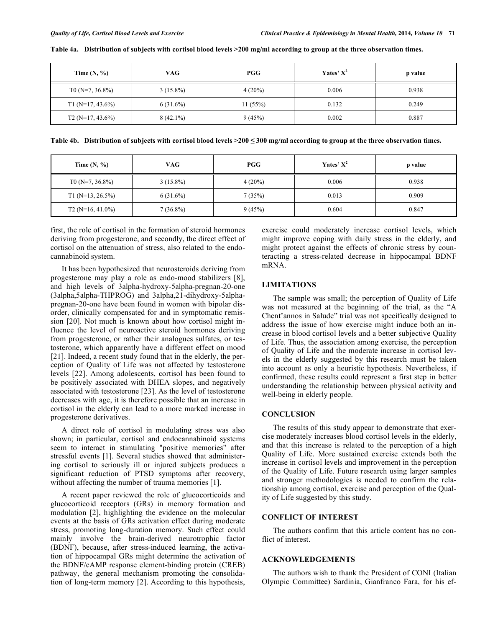| Time $(N, %)$         | <b>VAG</b>  | PGG       | Yates' $X^2$ | p value |
|-----------------------|-------------|-----------|--------------|---------|
| T0 ( $N=7, 36.8\%$ )  | $3(15.8\%)$ | $4(20\%)$ | 0.006        | 0.938   |
| T1 ( $N=17, 43.6\%$ ) | $6(31.6\%)$ | 11(55%)   | 0.132        | 0.249   |
| $T2(N=17, 43.6\%)$    | $8(42.1\%)$ | 9(45%)    | 0.002        | 0.887   |

**Table 4a. Distribution of subjects with cortisol blood levels >200 mg/ml according to group at the three observation times.** 

**Table 4b. Distribution of subjects with cortisol blood levels >200 - 300 mg/ml according to group at the three observation times.** 

| Time $(N, %)$         | VAG.        | PGG       | Yates' $X^2$ | p value |
|-----------------------|-------------|-----------|--------------|---------|
| T0 ( $N=7, 36.8\%$ )  | $3(15.8\%)$ | $4(20\%)$ | 0.006        | 0.938   |
| $T1(N=13, 26.5\%)$    | $6(31.6\%)$ | 7(35%)    | 0.013        | 0.909   |
| T2 ( $N=16, 41.0\%$ ) | $7(36.8\%)$ | 9(45%)    | 0.604        | 0.847   |

first, the role of cortisol in the formation of steroid hormones deriving from progesterone, and secondly, the direct effect of cortisol on the attenuation of stress, also related to the endocannabinoid system.

It has been hypothesized that neurosteroids deriving from progesterone may play a role as endo-mood stabilizers [8], and high levels of 3alpha-hydroxy-5alpha-pregnan-20-one (3alpha,5alpha-THPROG) and 3alpha,21-dihydroxy-5alphapregnan-20-one have been found in women with bipolar disorder, clinically compensated for and in symptomatic remission [20]. Not much is known about how cortisol might influence the level of neuroactive steroid hormones deriving from progesterone, or rather their analogues sulfates, or testosterone, which apparently have a different effect on mood [21]. Indeed, a recent study found that in the elderly, the perception of Quality of Life was not affected by testosterone levels [22]. Among adolescents, cortisol has been found to be positively associated with DHEA slopes, and negatively associated with testosterone [23]. As the level of testosterone decreases with age, it is therefore possible that an increase in cortisol in the elderly can lead to a more marked increase in progesterone derivatives.

A direct role of cortisol in modulating stress was also shown; in particular, cortisol and endocannabinoid systems seem to interact in stimulating "positive memories" after stressful events [1]. Several studies showed that administering cortisol to seriously ill or injured subjects produces a significant reduction of PTSD symptoms after recovery, without affecting the number of trauma memories [1].

A recent paper reviewed the role of glucocorticoids and glucocorticoid receptors (GRs) in memory formation and modulation [2], highlighting the evidence on the molecular events at the basis of GRs activation effect during moderate stress, promoting long-duration memory. Such effect could mainly involve the brain-derived neurotrophic factor (BDNF), because, after stress-induced learning, the activation of hippocampal GRs might determine the activation of the BDNF/cAMP response element-binding protein (CREB) pathway, the general mechanism promoting the consolidation of long-term memory [2]. According to this hypothesis,

exercise could moderately increase cortisol levels, which might improve coping with daily stress in the elderly, and might protect against the effects of chronic stress by counteracting a stress-related decrease in hippocampal BDNF mRNA.

## **LIMITATIONS**

The sample was small; the perception of Quality of Life was not measured at the beginning of the trial, as the "A Chent'annos in Salude" trial was not specifically designed to address the issue of how exercise might induce both an increase in blood cortisol levels and a better subjective Quality of Life. Thus, the association among exercise, the perception of Quality of Life and the moderate increase in cortisol levels in the elderly suggested by this research must be taken into account as only a heuristic hypothesis. Nevertheless, if confirmed, these results could represent a first step in better understanding the relationship between physical activity and well-being in elderly people.

## **CONCLUSION**

The results of this study appear to demonstrate that exercise moderately increases blood cortisol levels in the elderly, and that this increase is related to the perception of a high Quality of Life. More sustained exercise extends both the increase in cortisol levels and improvement in the perception of the Quality of Life. Future research using larger samples and stronger methodologies is needed to confirm the relationship among cortisol, exercise and perception of the Quality of Life suggested by this study.

# **CONFLICT OF INTEREST**

The authors confirm that this article content has no conflict of interest.

## **ACKNOWLEDGEMENTS**

The authors wish to thank the President of CONI (Italian Olympic Committee) Sardinia, Gianfranco Fara, for his ef